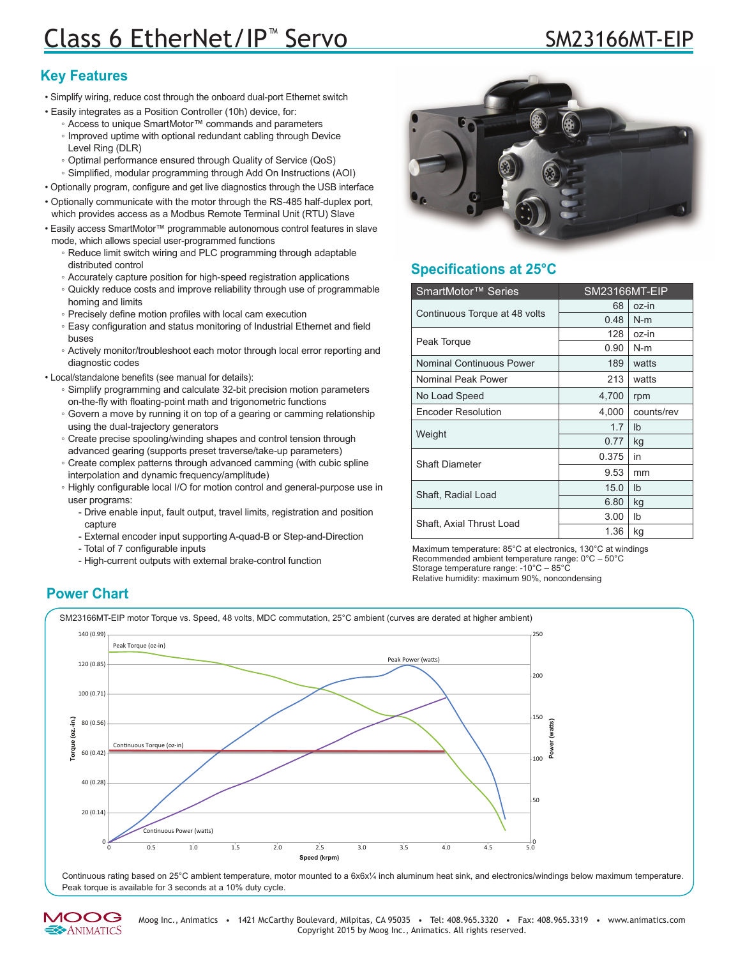# Class 6 EtherNet/IP<sup>™</sup> Servo SM23166M

### **Key Features**

- Simplify wiring, reduce cost through the onboard dual-port Ethernet switch
- Easily integrates as a Position Controller (10h) device, for:
	- Access to unique SmartMotor™ commands and parameters ◦ Improved uptime with optional redundant cabling through Device Level Ring (DLR)
	- Optimal performance ensured through Quality of Service (QoS)
	- Simplified, modular programming through Add On Instructions (AOI)
- Optionally program, configure and get live diagnostics through the USB interface
- Optionally communicate with the motor through the RS-485 half-duplex port, which provides access as a Modbus Remote Terminal Unit (RTU) Slave
- Easily access SmartMotor™ programmable autonomous control features in slave mode, which allows special user-programmed functions
	- Reduce limit switch wiring and PLC programming through adaptable distributed control
	- Accurately capture position for high-speed registration applications
	- Quickly reduce costs and improve reliability through use of programmable homing and limits
	- Precisely define motion profiles with local cam execution
	- Easy configuration and status monitoring of Industrial Ethernet and field buses
	- Actively monitor/troubleshoot each motor through local error reporting and diagnostic codes
- Local/standalone benefits (see manual for details):
	- Simplify programming and calculate 32-bit precision motion parameters on-the-fly with floating-point math and trigonometric functions
	- Govern a move by running it on top of a gearing or camming relationship using the dual-trajectory generators
	- Create precise spooling/winding shapes and control tension through advanced gearing (supports preset traverse/take-up parameters)
	- Create complex patterns through advanced camming (with cubic spline interpolation and dynamic frequency/amplitude)
	- Highly configurable local I/O for motion control and general-purpose use in user programs:
		- Drive enable input, fault output, travel limits, registration and position capture
		- External encoder input supporting A-quad-B or Step-and-Direction
		- Total of 7 configurable inputs
		- High-current outputs with external brake-control function



## **Specifications at 25°C**

| SmartMotor <sup>™</sup> Series | SM23166MT-EIP |                |
|--------------------------------|---------------|----------------|
| Continuous Torque at 48 volts  | 68            | oz-in          |
|                                | 0.48          | $N-m$          |
| Peak Torque                    | 128           | oz-in          |
|                                | 0.90          | $N-m$          |
| Nominal Continuous Power       | 189           | watts          |
| Nominal Peak Power             | 213           | watts          |
| No Load Speed                  | 4,700         | rpm            |
| <b>Encoder Resolution</b>      | 4,000         | counts/rev     |
| Weight                         | 1.7           | I <sub>b</sub> |
|                                | 0.77          | kg             |
| <b>Shaft Diameter</b>          | 0.375         | in             |
|                                | 9.53          | mm             |
| Shaft, Radial Load             | 15.0          | I <sub>b</sub> |
|                                | 6.80          | kg             |
| Shaft, Axial Thrust Load       | 3.00          | Ib             |
|                                | 1.36          | kg             |

Maximum temperature: 85°C at electronics, 130°C at windings Recommended ambient temperature range: 0°C – 50°C Storage temperature range: -10°C – 85°C Relative humidity: maximum 90%, noncondensing

#### **Power Chart**

SM23166MT-EIP motor Torque vs. Speed, 48 volts, MDC commutation, 25°C ambient (curves are derated at higher ambient)



Continuous rating based on 25°C ambient temperature, motor mounted to a 6x6x¼ inch aluminum heat sink, and electronics/windings below maximum temperature. Peak torque is available for 3 seconds at a 10% duty cycle.